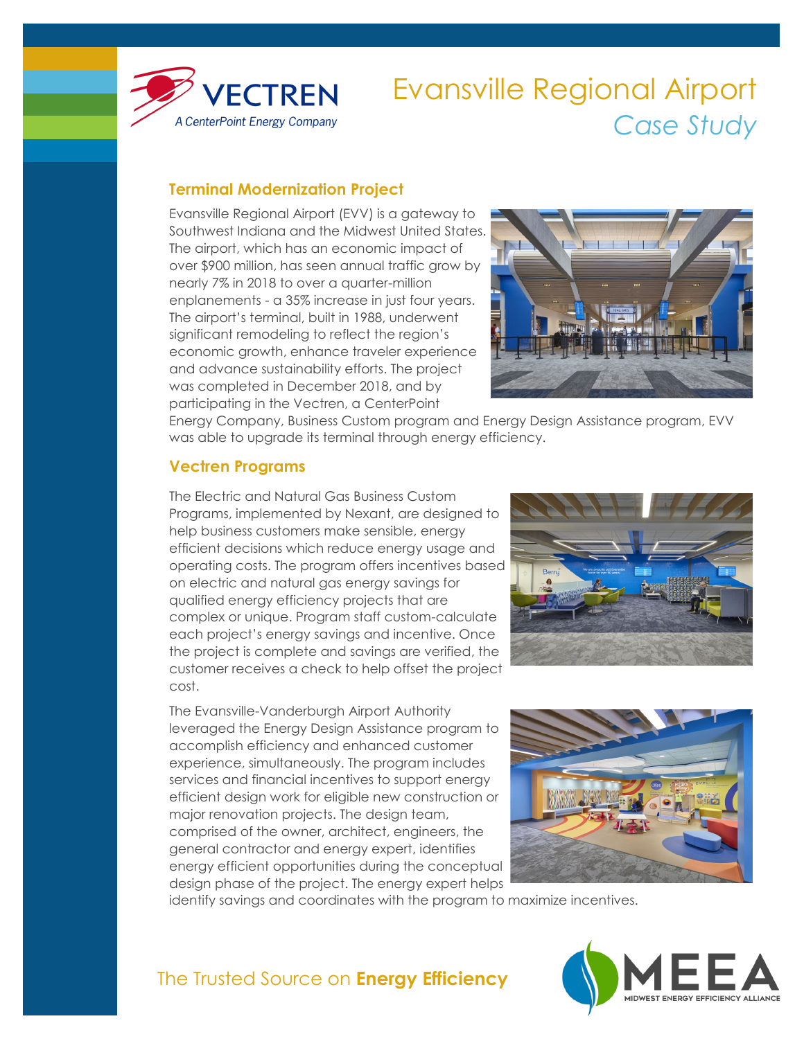

# Evansville Regional Airport *Case Study*

### **Terminal Modernization Project**

Evansville Regional Airport (EVV) is a gateway to Southwest Indiana and the Midwest United States. The airport, which has an economic impact of over \$900 million, has seen annual traffic grow by nearly 7% in 2018 to over a quarter-million enplanements - a 35% increase in just four years. The airport's terminal, built in 1988, underwent significant remodeling to reflect the region's economic growth, enhance traveler experience and advance sustainability efforts. The project was completed in December 2018, and by participating in the Vectren, a CenterPoint



Energy Company, Business Custom program and Energy Design Assistance program, EVV was able to upgrade its terminal through energy efficiency.

#### **Vectren Programs**

The Electric and Natural Gas Business Custom Programs, implemented by Nexant, are designed to help business customers make sensible, energy efficient decisions which reduce energy usage and operating costs. The program offers incentives based on electric and natural gas energy savings for qualified energy efficiency projects that are complex or unique. Program staff custom-calculate each project's energy savings and incentive. Once the project is complete and savings are verified, the customer receives a check to help offset the project cost.

The Evansville-Vanderburgh Airport Authority leveraged the Energy Design Assistance program to accomplish efficiency and enhanced customer experience, simultaneously. The program includes services and financial incentives to support energy efficient design work for eligible new construction or major renovation projects. The design team, comprised of the owner, architect, engineers, the general contractor and energy expert, identifies energy efficient opportunities during the conceptual design phase of the project. The energy expert helps





identify savings and coordinates with the program to maximize incentives.



## The Trusted Source on **Energy Efficiency**